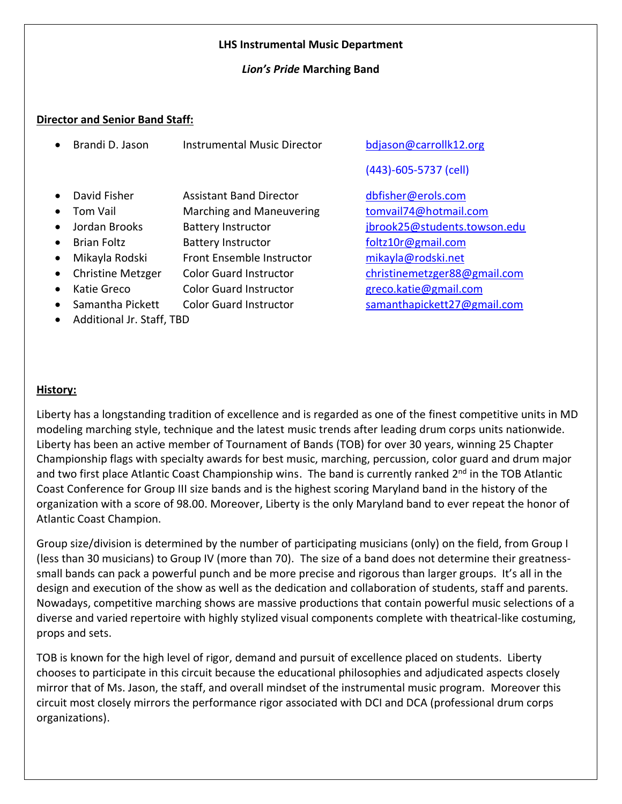#### **LHS Instrumental Music Department**

#### *Lion's Pride* **Marching Band**

#### **Director and Senior Band Staff:**

|           | Brandi D. Jason           | <b>Instrumental Music Director</b> | bdjason@carrollk12.org       |  |  |  |
|-----------|---------------------------|------------------------------------|------------------------------|--|--|--|
|           |                           |                                    | (443)-605-5737 (cell)        |  |  |  |
|           | David Fisher              | <b>Assistant Band Director</b>     | dbfisher@erols.com           |  |  |  |
|           | Tom Vail                  | <b>Marching and Maneuvering</b>    | tomvail74@hotmail.com        |  |  |  |
|           | Jordan Brooks             | <b>Battery Instructor</b>          | jbrook25@students.towson.edu |  |  |  |
|           | <b>Brian Foltz</b>        | <b>Battery Instructor</b>          | foltz10r@gmail.com           |  |  |  |
| $\bullet$ | Mikayla Rodski            | <b>Front Ensemble Instructor</b>   | mikayla@rodski.net           |  |  |  |
| $\bullet$ | <b>Christine Metzger</b>  | <b>Color Guard Instructor</b>      | christinemetzger88@gmail.com |  |  |  |
| $\bullet$ | Katie Greco               | <b>Color Guard Instructor</b>      | greco.katie@gmail.com        |  |  |  |
| $\bullet$ | Samantha Pickett          | <b>Color Guard Instructor</b>      | samanthapickett27@gmail.com  |  |  |  |
|           | Additional Jr. Staff, TBD |                                    |                              |  |  |  |

#### **History:**

Liberty has a longstanding tradition of excellence and is regarded as one of the finest competitive units in MD modeling marching style, technique and the latest music trends after leading drum corps units nationwide. Liberty has been an active member of Tournament of Bands (TOB) for over 30 years, winning 25 Chapter Championship flags with specialty awards for best music, marching, percussion, color guard and drum major and two first place Atlantic Coast Championship wins. The band is currently ranked 2<sup>nd</sup> in the TOB Atlantic Coast Conference for Group III size bands and is the highest scoring Maryland band in the history of the organization with a score of 98.00. Moreover, Liberty is the only Maryland band to ever repeat the honor of Atlantic Coast Champion.

Group size/division is determined by the number of participating musicians (only) on the field, from Group I (less than 30 musicians) to Group IV (more than 70). The size of a band does not determine their greatnesssmall bands can pack a powerful punch and be more precise and rigorous than larger groups. It's all in the design and execution of the show as well as the dedication and collaboration of students, staff and parents. Nowadays, competitive marching shows are massive productions that contain powerful music selections of a diverse and varied repertoire with highly stylized visual components complete with theatrical-like costuming, props and sets.

TOB is known for the high level of rigor, demand and pursuit of excellence placed on students. Liberty chooses to participate in this circuit because the educational philosophies and adjudicated aspects closely mirror that of Ms. Jason, the staff, and overall mindset of the instrumental music program. Moreover this circuit most closely mirrors the performance rigor associated with DCI and DCA (professional drum corps organizations).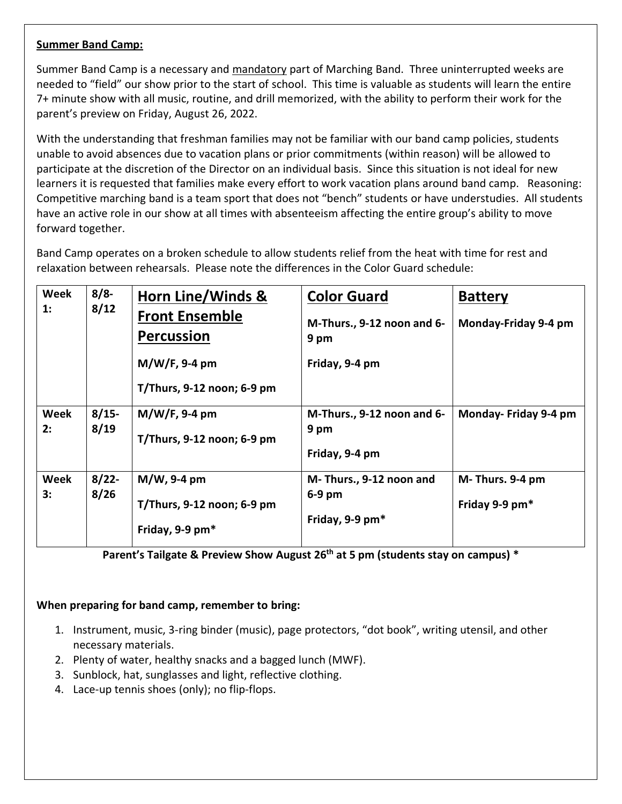#### **Summer Band Camp:**

Summer Band Camp is a necessary and mandatory part of Marching Band. Three uninterrupted weeks are needed to "field" our show prior to the start of school. This time is valuable as students will learn the entire 7+ minute show with all music, routine, and drill memorized, with the ability to perform their work for the parent's preview on Friday, August 26, 2022.

With the understanding that freshman families may not be familiar with our band camp policies, students unable to avoid absences due to vacation plans or prior commitments (within reason) will be allowed to participate at the discretion of the Director on an individual basis. Since this situation is not ideal for new learners it is requested that families make every effort to work vacation plans around band camp. Reasoning: Competitive marching band is a team sport that does not "bench" students or have understudies. All students have an active role in our show at all times with absenteeism affecting the entire group's ability to move forward together.

Band Camp operates on a broken schedule to allow students relief from the heat with time for rest and relaxation between rehearsals. Please note the differences in the Color Guard schedule:

| Week        | $8/8$ -  | Horn Line/Winds &                          | <b>Color Guard</b>                 | <b>Battery</b>        |
|-------------|----------|--------------------------------------------|------------------------------------|-----------------------|
| 1:          | 8/12     | <b>Front Ensemble</b><br><b>Percussion</b> | M-Thurs., 9-12 noon and 6-<br>9 pm | Monday-Friday 9-4 pm  |
|             |          | $M/W/F$ , 9-4 pm                           | Friday, 9-4 pm                     |                       |
|             |          | T/Thurs, $9-12$ noon; 6-9 pm               |                                    |                       |
| Week        | $8/15 -$ | $M/W/F$ , 9-4 pm                           | M-Thurs., 9-12 noon and 6-         | Monday- Friday 9-4 pm |
| 2:          | 8/19     | T/Thurs, 9-12 noon; 6-9 pm                 | 9 pm                               |                       |
|             |          |                                            | Friday, 9-4 pm                     |                       |
| <b>Week</b> | $8/22$ - | $M/W$ , 9-4 pm                             | M-Thurs., 9-12 noon and            | M-Thurs. 9-4 pm       |
| 3:          | 8/26     | T/Thurs, $9-12$ noon; $6-9$ pm             | $6-9$ pm                           | Friday 9-9 $pm*$      |
|             |          | Friday, 9-9 pm*                            | Friday, 9-9 pm*                    |                       |

**Parent's Tailgate & Preview Show August 26 th at 5 pm (students stay on campus) \***

#### **When preparing for band camp, remember to bring:**

- 1. Instrument, music, 3-ring binder (music), page protectors, "dot book", writing utensil, and other necessary materials.
- 2. Plenty of water, healthy snacks and a bagged lunch (MWF).
- 3. Sunblock, hat, sunglasses and light, reflective clothing.
- 4. Lace-up tennis shoes (only); no flip-flops.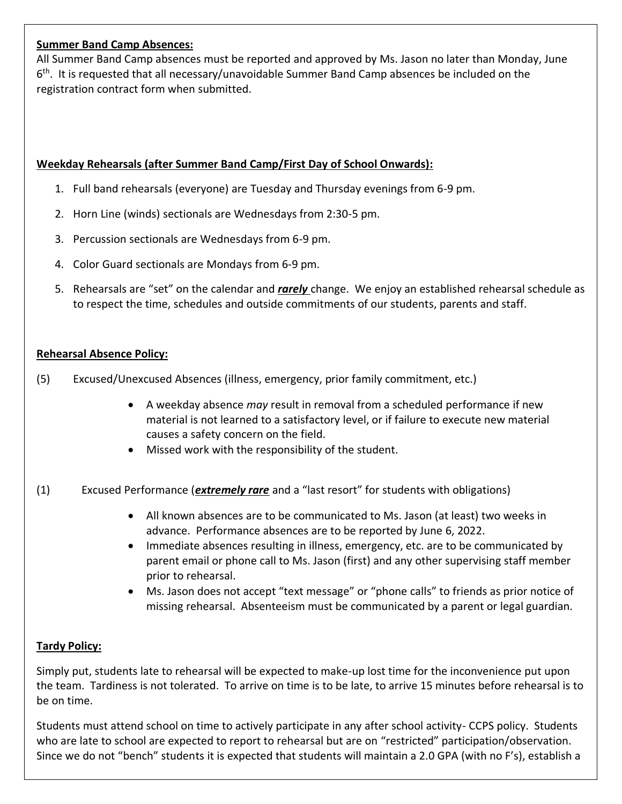#### **Summer Band Camp Absences:**

All Summer Band Camp absences must be reported and approved by Ms. Jason no later than Monday, June 6<sup>th</sup>. It is requested that all necessary/unavoidable Summer Band Camp absences be included on the registration contract form when submitted.

## **Weekday Rehearsals (after Summer Band Camp/First Day of School Onwards):**

- 1. Full band rehearsals (everyone) are Tuesday and Thursday evenings from 6-9 pm.
- 2. Horn Line (winds) sectionals are Wednesdays from 2:30-5 pm.
- 3. Percussion sectionals are Wednesdays from 6-9 pm.
- 4. Color Guard sectionals are Mondays from 6-9 pm.
- 5. Rehearsals are "set" on the calendar and *rarely* change. We enjoy an established rehearsal schedule as to respect the time, schedules and outside commitments of our students, parents and staff.

#### **Rehearsal Absence Policy:**

- (5) Excused/Unexcused Absences (illness, emergency, prior family commitment, etc.)
	- A weekday absence *may* result in removal from a scheduled performance if new material is not learned to a satisfactory level, or if failure to execute new material causes a safety concern on the field.
	- Missed work with the responsibility of the student.
- (1) Excused Performance (*extremely rare* and a "last resort" for students with obligations)
	- All known absences are to be communicated to Ms. Jason (at least) two weeks in advance. Performance absences are to be reported by June 6, 2022.
	- Immediate absences resulting in illness, emergency, etc. are to be communicated by parent email or phone call to Ms. Jason (first) and any other supervising staff member prior to rehearsal.
	- Ms. Jason does not accept "text message" or "phone calls" to friends as prior notice of missing rehearsal. Absenteeism must be communicated by a parent or legal guardian.

#### **Tardy Policy:**

Simply put, students late to rehearsal will be expected to make-up lost time for the inconvenience put upon the team. Tardiness is not tolerated. To arrive on time is to be late, to arrive 15 minutes before rehearsal is to be on time.

Students must attend school on time to actively participate in any after school activity- CCPS policy. Students who are late to school are expected to report to rehearsal but are on "restricted" participation/observation. Since we do not "bench" students it is expected that students will maintain a 2.0 GPA (with no F's), establish a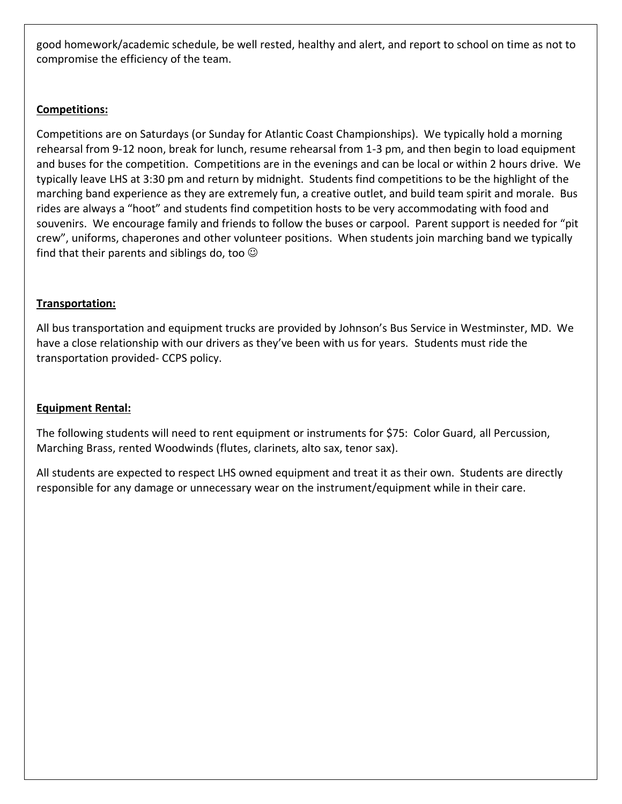good homework/academic schedule, be well rested, healthy and alert, and report to school on time as not to compromise the efficiency of the team.

## **Competitions:**

Competitions are on Saturdays (or Sunday for Atlantic Coast Championships). We typically hold a morning rehearsal from 9-12 noon, break for lunch, resume rehearsal from 1-3 pm, and then begin to load equipment and buses for the competition. Competitions are in the evenings and can be local or within 2 hours drive. We typically leave LHS at 3:30 pm and return by midnight. Students find competitions to be the highlight of the marching band experience as they are extremely fun, a creative outlet, and build team spirit and morale. Bus rides are always a "hoot" and students find competition hosts to be very accommodating with food and souvenirs. We encourage family and friends to follow the buses or carpool. Parent support is needed for "pit crew", uniforms, chaperones and other volunteer positions. When students join marching band we typically find that their parents and siblings do, too  $\odot$ 

#### **Transportation:**

All bus transportation and equipment trucks are provided by Johnson's Bus Service in Westminster, MD. We have a close relationship with our drivers as they've been with us for years. Students must ride the transportation provided- CCPS policy.

#### **Equipment Rental:**

The following students will need to rent equipment or instruments for \$75: Color Guard, all Percussion, Marching Brass, rented Woodwinds (flutes, clarinets, alto sax, tenor sax).

All students are expected to respect LHS owned equipment and treat it as their own. Students are directly responsible for any damage or unnecessary wear on the instrument/equipment while in their care.